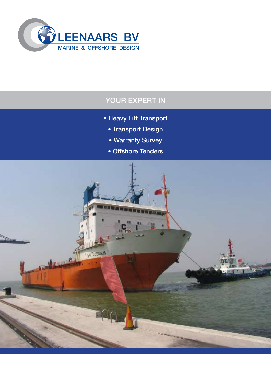

# YOUR EXPERT IN

- Heavy Lift Transport
	- Transport Design
	- Warranty Survey
	- Offshore Tenders

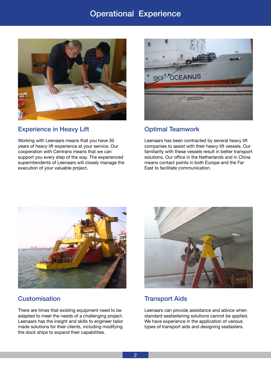# Operational Experience



### Experience in Heavy Lift

Working with Leenaars means that you have 30 years of heavy lift experience at your service. Our cooperation with Centrans means that we can support you every step of the way. The experienced superintendents of Leenaars will closely manage the execution of your valuable project.



### Optimal Teamwork

Leenaars has been contracted by several heavy lift companies to assist with their heavy lift vessels. Our familiarity with these vessels result in better transport solutions. Our office in the Netherlands and in China means contact points in both Europe and the Far East to facilitate communication.



### **Customisation**

There are times that existing equipment need to be adapted to meet the needs of a challenging project. Leenaars has the insight and skills to engineer tailor made solutions for their clients, including modifying the dock ships to expand their capabilities.



### Transport Aids

Leenaars can provide assistance and advice when standard seafastening solutions cannot be applied. We have experience in the application of various types of transport aids and designing seafasters.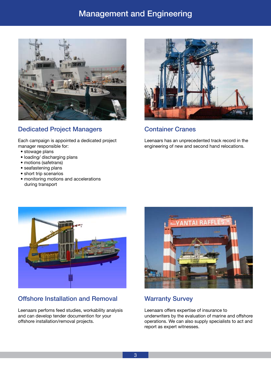# Management and Engineering



## Dedicated Project Managers

Each campaign is appointed a dedicated project manager responsible for:

- stowage plans
- loading/ discharging plans
- motions (safetrans)
- seafastening plans
- short trip scenarios
- monitoring motions and accelerations during transport



#### Container Cranes

Leenaars has an unprecedented track record in the engineering of new and second hand relocations.



### Offshore Installation and Removal

Leenaars perfoms feed studies, workability analysis and can develop tender documention for your offshore installation/removal projects.



### Warranty Survey

Leenaars offers expertise of insurance to underwriters by the evaluation of marine and offshore operations. We can also supply specialists to act and report as expert witnesses.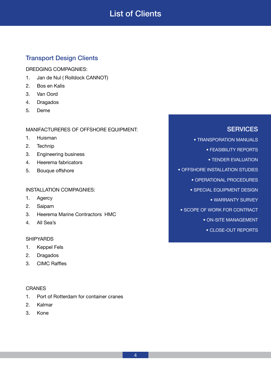# List of Clients

## Transport Design Clients

DREDGING COMPAGNIES:

- 1. Jan de Nul (Rolldock CANNOT)
- 2. Bos en Kalis
- 3. Van Oord
- 4. Dragados
- 5. Deme

MANIFACTURERES OF OFFSHORE EQUIPMENT:

- 1. Huisman
- 2. Technip
- 3. Engineering business
- 4. Heerema fabricators
- 5. Bouque offshore

#### INSTALLATION COMPAGNIES:

- 1. Agercy
- 2. Saipam
- 3. Heerema Marine Contractors HMC
- 4. All Sea's

#### **SHIPYARDS**

- 1. Keppel Fels
- 2. Dragados
- 3. CIMC Raffles

#### CRANES

- 1. Port of Rotterdam for container cranes
- 2. Kalmar
- 3. Kone

## **SERVICES**

• TRANSPORATION MANUALS

• FEASIBILITY REPORTS

• TENDER EVALUATION

• OFFSHORE INSTALLATION STUDIES

• OPERATIONAL PROCEDURES

• SPECIAL EQUIPMENT DESIGN

• WARRANTY SURVEY

• SCOPE OF WORK FOR CONTRACT

• ON-SITE MANAGEMENT

• CLOSE-OUT REPORTS